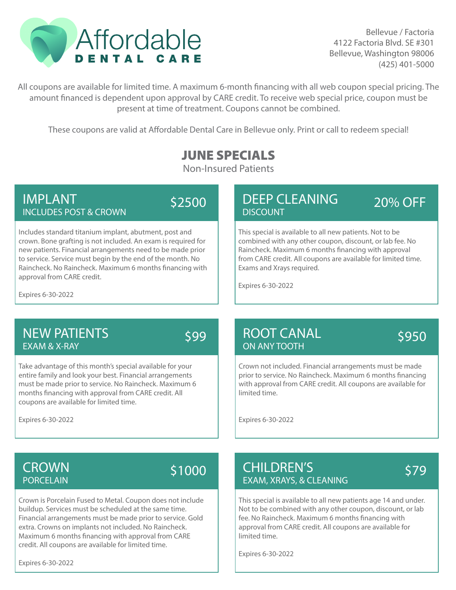

Bellevue / Factoria 4122 Factoria Blvd. SE #301 Bellevue, Washington 98006 (425) 401-5000

All coupons are available for limited time. A maximum 6-month financing with all web coupon special pricing. The amount financed is dependent upon approval by CARE credit. To receive web special price, coupon must be present at time of treatment. Coupons cannot be combined.

These coupons are valid at Affordable Dental Care in Bellevue only. Print or call to redeem special!

## JUNE SPECIALS

Non-Insured Patients

#### IMPLANT INCLUDES POST & CROWN

\$2500

Includes standard titanium implant, abutment, post and crown. Bone grafting is not included. An exam is required for new patients. Financial arrangements need to be made prior to service. Service must begin by the end of the month. No Raincheck. No Raincheck. Maximum 6 months financing with approval from CARE credit.

### DEEP CLEANING **DISCOUNT**

20% OFF

This special is available to all new patients. Not to be combined with any other coupon, discount, or lab fee. No Raincheck. Maximum 6 months financing with approval from CARE credit. All coupons are available for limited time. Exams and Xrays required.

Expires 6-30-2022

Expires 6-30-2022

### NEW PATIENTS EXAM & X-RAY

\$99

Take advantage of this month's special available for your entire family and look your best. Financial arrangements must be made prior to service. No Raincheck. Maximum 6 months financing with approval from CARE credit. All coupons are available for limited time.

Expires 6-30-2022

#### ROOT CANAL ON ANY TOOTH

\$950

Crown not included. Financial arrangements must be made prior to service. No Raincheck. Maximum 6 months financing with approval from CARE credit. All coupons are available for limited time.

Expires 6-30-2022

### **CROWN** PORCELAIN

# \$1000

Crown is Porcelain Fused to Metal. Coupon does not include buildup. Services must be scheduled at the same time. Financial arrangements must be made prior to service. Gold extra. Crowns on implants not included. No Raincheck. Maximum 6 months financing with approval from CARE credit. All coupons are available for limited time.

Expires 6-30-2022

#### CHILDREN'S EXAM, XRAYS, & CLEANING

# \$79

This special is available to all new patients age 14 and under. Not to be combined with any other coupon, discount, or lab fee. No Raincheck. Maximum 6 months financing with approval from CARE credit. All coupons are available for limited time.

Expires 6-30-2022